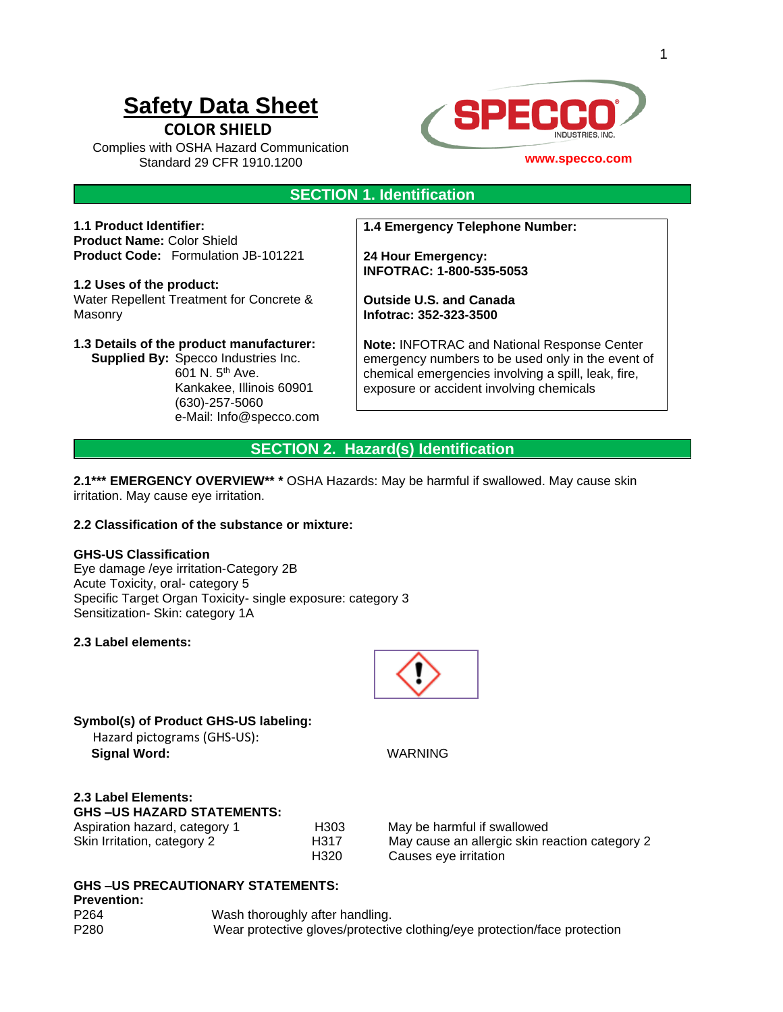# **Safety Data Sheet**

**COLOR SHIELD**

Complies with OSHA Hazard Communication Standard 29 CFR 1910.1200



### **www.specco.com**

### **SECTION 1. Identification**

**1.1 Product Identifier: Product Name:** Color Shield **Product Code:** Formulation JB-101221

**1.2 Uses of the product:**  Water Repellent Treatment for Concrete & Masonry

**1.3 Details of the product manufacturer:**

 **Supplied By:** Specco Industries Inc. 601 N. 5th Ave. Kankakee, Illinois 60901 (630)-257-5060 e-Mail: Info@specco.com **1.4 Emergency Telephone Number:**

**24 Hour Emergency: INFOTRAC: 1-800-535-5053**

**Outside U.S. and Canada Infotrac: 352-323-3500**

**Note:** INFOTRAC and National Response Center emergency numbers to be used only in the event of chemical emergencies involving a spill, leak, fire, exposure or accident involving chemicals

### **SECTION 2. Hazard(s) Identification**

**2.1\*\*\* EMERGENCY OVERVIEW\*\* \*** OSHA Hazards: May be harmful if swallowed. May cause skin irritation. May cause eye irritation.

### **2.2 Classification of the substance or mixture:**

### **GHS-US Classification**

Eye damage /eye irritation-Category 2B Acute Toxicity, oral- category 5 Specific Target Organ Toxicity- single exposure: category 3 Sensitization- Skin: category 1A

#### **2.3 Label elements:**



### **Symbol(s) of Product GHS-US labeling:** Hazard pictograms (GHS-US):

 **Signal Word:** WARNING

## **2.3 Label Elements: GHS-US HAZARD STATEMENTS:**<br>Aspiration hazard category 1

| piration nazaru, category T | יטו ו           |
|-----------------------------|-----------------|
| in Irritation, category 2   | H <sub>31</sub> |
|                             | H <sub>32</sub> |

H303 May be harmful if swallowed Skin Irritation, category 2 H317 May cause an allergic skin reaction category 2 20 Causes eye irritation

### **GHS –US PRECAUTIONARY STATEMENTS:**

**Prevention:**

P264 Wash thoroughly after handling. P280 Wear protective gloves/protective clothing/eye protection/face protection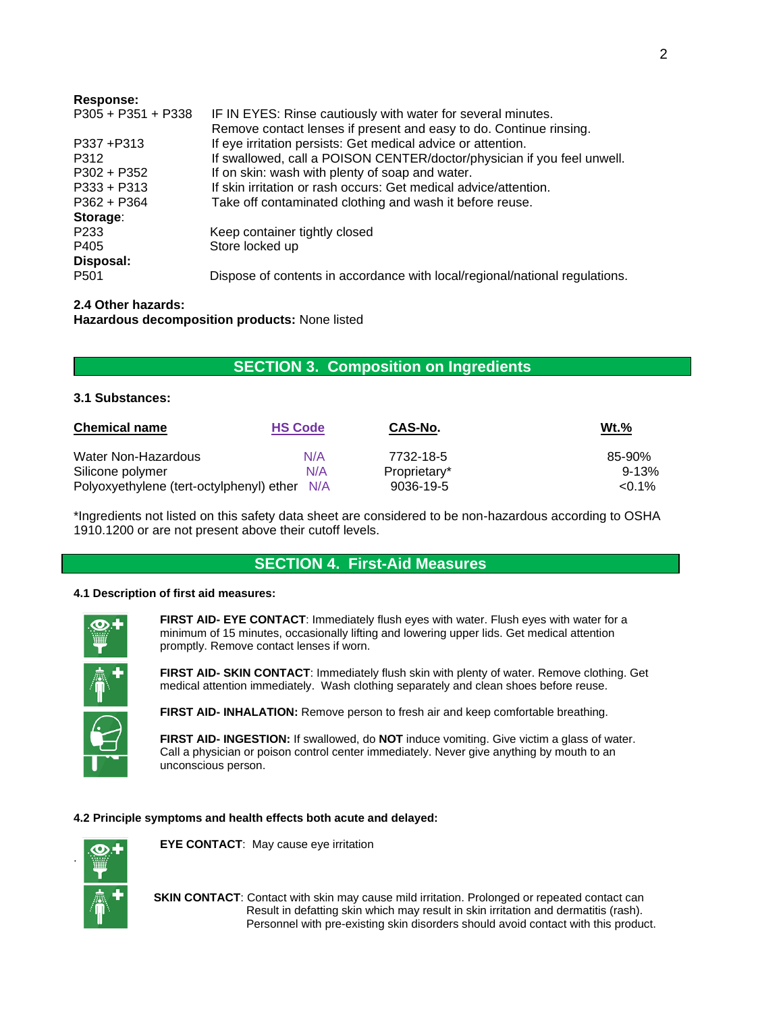| Response:            |                                                                             |
|----------------------|-----------------------------------------------------------------------------|
| $P305 + P351 + P338$ | IF IN EYES: Rinse cautiously with water for several minutes.                |
|                      | Remove contact lenses if present and easy to do. Continue rinsing.          |
| P337 +P313           | If eye irritation persists: Get medical advice or attention.                |
| P312                 | If swallowed, call a POISON CENTER/doctor/physician if you feel unwell.     |
| $P302 + P352$        | If on skin: wash with plenty of soap and water.                             |
| $P333 + P313$        | If skin irritation or rash occurs: Get medical advice/attention.            |
| $P362 + P364$        | Take off contaminated clothing and wash it before reuse.                    |
| Storage:             |                                                                             |
| P <sub>2</sub> 33    | Keep container tightly closed                                               |
| P405                 | Store locked up                                                             |
| Disposal:            |                                                                             |
| P <sub>501</sub>     | Dispose of contents in accordance with local/regional/national regulations. |
|                      |                                                                             |

### **2.4 Other hazards:**

**Hazardous decomposition products:** None listed

### **SECTION 3. Composition on Ingredients**

### **3.1 Substances:**

| <b>Chemical name</b>                         | <b>HS Code</b> | CAS-No.      | $Wt.\%$   |
|----------------------------------------------|----------------|--------------|-----------|
| Water Non-Hazardous                          | N/A            | 7732-18-5    | 85-90%    |
| Silicone polymer                             | N/A            | Proprietary* | $9 - 13%$ |
| Polyoxyethylene (tert-octylphenyl) ether N/A |                | 9036-19-5    | $< 0.1\%$ |

\*Ingredients not listed on this safety data sheet are considered to be non-hazardous according to OSHA 1910.1200 or are not present above their cutoff levels.

### **SECTION 4. First-Aid Measures**

#### **4.1 Description of first aid measures:**



**FIRST AID- EYE CONTACT**: Immediately flush eyes with water. Flush eyes with water for a minimum of 15 minutes, occasionally lifting and lowering upper lids. Get medical attention promptly. Remove contact lenses if worn.



**FIRST AID- SKIN CONTACT**: Immediately flush skin with plenty of water. Remove clothing. Get medical attention immediately. Wash clothing separately and clean shoes before reuse.

**FIRST AID- INHALATION:** Remove person to fresh air and keep comfortable breathing.

**FIRST AID- INGESTION:** If swallowed, do **NOT** induce vomiting. Give victim a glass of water. Call a physician or poison control center immediately. Never give anything by mouth to an unconscious person.

### **4.2 Principle symptoms and health effects both acute and delayed:**



**EYE CONTACT**: May cause eye irritation

**SKIN CONTACT:** Contact with skin may cause mild irritation. Prolonged or repeated contact can Result in defatting skin which may result in skin irritation and dermatitis (rash). Personnel with pre-existing skin disorders should avoid contact with this product.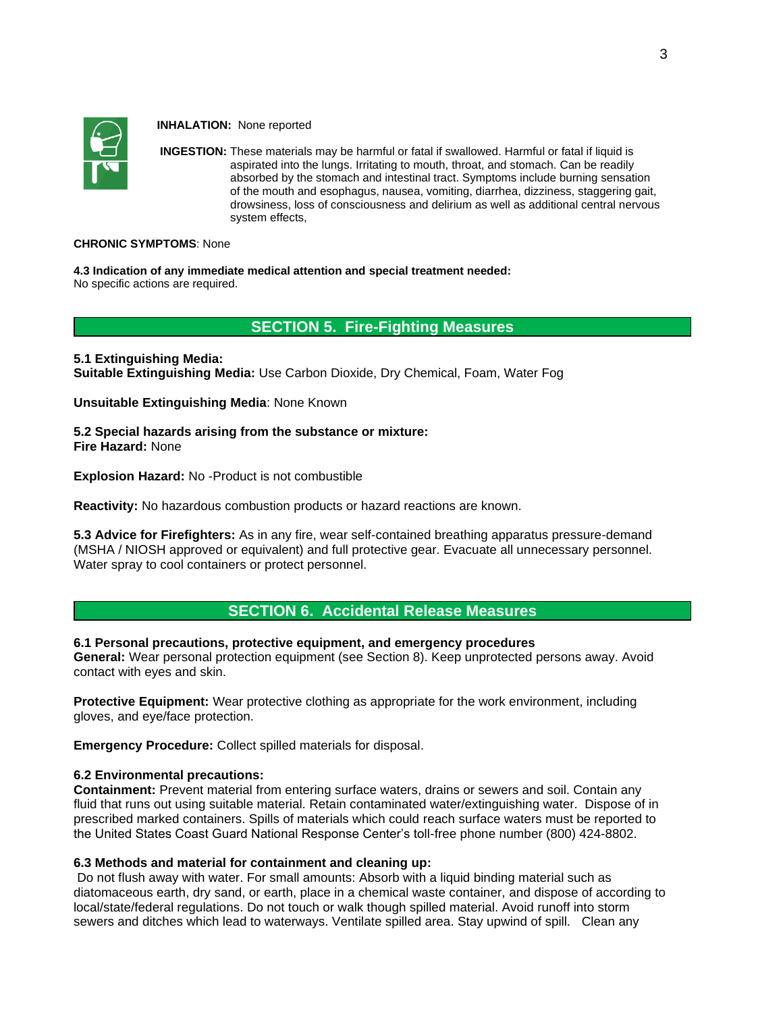

 **INHALATION:** None reported

**INGESTION:** These materials may be harmful or fatal if swallowed. Harmful or fatal if liquid is aspirated into the lungs. Irritating to mouth, throat, and stomach. Can be readily absorbed by the stomach and intestinal tract. Symptoms include burning sensation of the mouth and esophagus, nausea, vomiting, diarrhea, dizziness, staggering gait, drowsiness, loss of consciousness and delirium as well as additional central nervous system effects,

#### **CHRONIC SYMPTOMS**: None

**4.3 Indication of any immediate medical attention and special treatment needed:** No specific actions are required.

### **SECTION 5. Fire-Fighting Measures**

**5.1 Extinguishing Media: Suitable Extinguishing Media:** Use Carbon Dioxide, Dry Chemical, Foam, Water Fog

**Unsuitable Extinguishing Media**: None Known

**5.2 Special hazards arising from the substance or mixture: Fire Hazard:** None

**Explosion Hazard:** No -Product is not combustible

**Reactivity:** No hazardous combustion products or hazard reactions are known.

**5.3 Advice for Firefighters:** As in any fire, wear self-contained breathing apparatus pressure-demand (MSHA / NIOSH approved or equivalent) and full protective gear. Evacuate all unnecessary personnel. Water spray to cool containers or protect personnel.

### **SECTION 6. Accidental Release Measures**

### **6.1 Personal precautions, protective equipment, and emergency procedures**

**General:** Wear personal protection equipment (see Section 8). Keep unprotected persons away. Avoid contact with eyes and skin.

**Protective Equipment:** Wear protective clothing as appropriate for the work environment, including gloves, and eye/face protection.

**Emergency Procedure:** Collect spilled materials for disposal.

#### **6.2 Environmental precautions:**

**Containment:** Prevent material from entering surface waters, drains or sewers and soil. Contain any fluid that runs out using suitable material. Retain contaminated water/extinguishing water. Dispose of in prescribed marked containers. Spills of materials which could reach surface waters must be reported to the United States Coast Guard National Response Center's toll-free phone number (800) 424-8802.

### **6.3 Methods and material for containment and cleaning up:**

Do not flush away with water. For small amounts: Absorb with a liquid binding material such as diatomaceous earth, dry sand, or earth, place in a chemical waste container, and dispose of according to local/state/federal regulations. Do not touch or walk though spilled material. Avoid runoff into storm sewers and ditches which lead to waterways. Ventilate spilled area. Stay upwind of spill. Clean any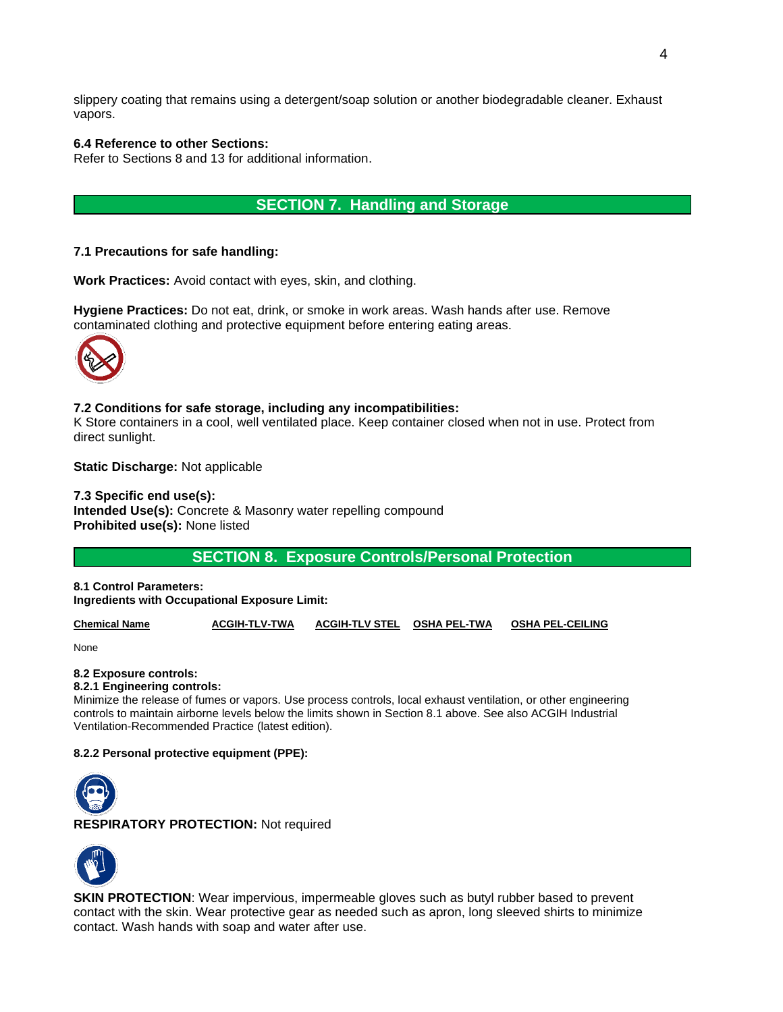slippery coating that remains using a detergent/soap solution or another biodegradable cleaner. Exhaust vapors.

### **6.4 Reference to other Sections:**

Refer to Sections 8 and 13 for additional information.

### **SECTION 7. Handling and Storage**

### **7.1 Precautions for safe handling:**

**Work Practices:** Avoid contact with eyes, skin, and clothing.

**Hygiene Practices:** Do not eat, drink, or smoke in work areas. Wash hands after use. Remove contaminated clothing and protective equipment before entering eating areas.



### **7.2 Conditions for safe storage, including any incompatibilities:**

K Store containers in a cool, well ventilated place. Keep container closed when not in use. Protect from direct sunlight.

**Static Discharge:** Not applicable

### **7.3 Specific end use(s): Intended Use(s):** Concrete & Masonry water repelling compound **Prohibited use(s):** None listed

**SECTION 8. Exposure Controls/Personal Protection**

**8.1 Control Parameters: Ingredients with Occupational Exposure Limit:**

**Chemical Name ACGIH-TLV-TWA ACGIH-TLV STEL OSHA PEL-TWA OSHA PEL-CEILING**

None

#### **8.2 Exposure controls:**

#### **8.2.1 Engineering controls:**

Minimize the release of fumes or vapors. Use process controls, local exhaust ventilation, or other engineering controls to maintain airborne levels below the limits shown in Section 8.1 above. See also ACGIH Industrial Ventilation-Recommended Practice (latest edition).

#### **8.2.2 Personal protective equipment (PPE):**



**RESPIRATORY PROTECTION:** Not required



**SKIN PROTECTION:** Wear impervious, impermeable gloves such as butyl rubber based to prevent contact with the skin. Wear protective gear as needed such as apron, long sleeved shirts to minimize contact. Wash hands with soap and water after use.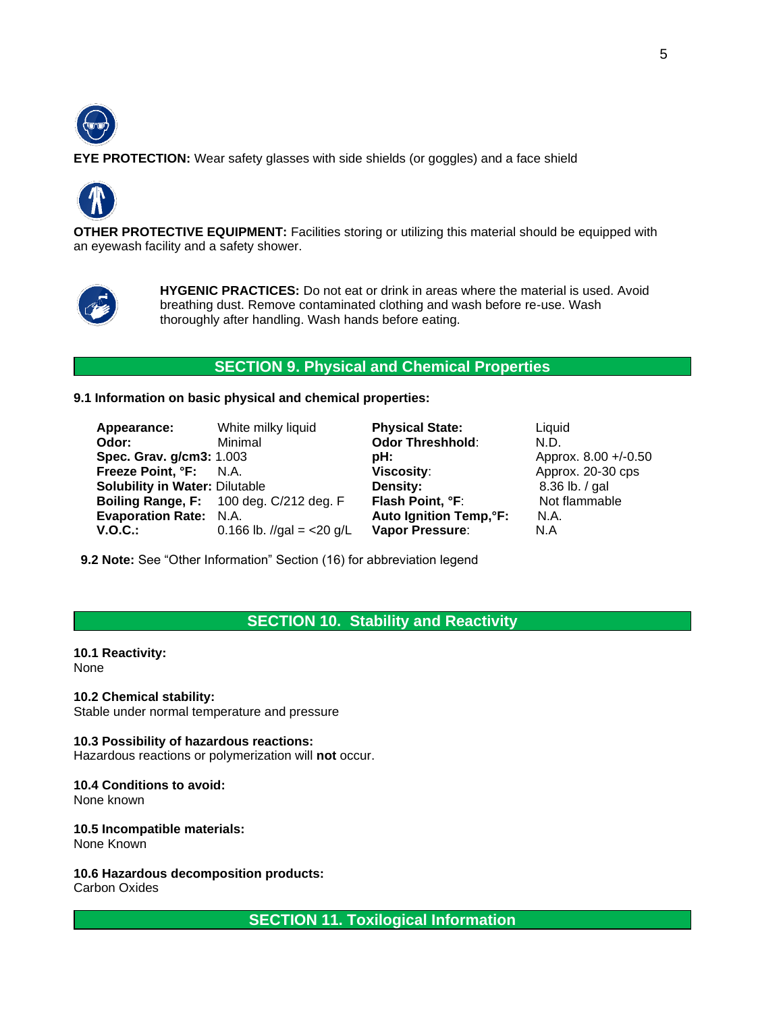

**EYE PROTECTION:** Wear safety glasses with side shields (or goggles) and a face shield



**OTHER PROTECTIVE EQUIPMENT:** Facilities storing or utilizing this material should be equipped with an eyewash facility and a safety shower.



**HYGENIC PRACTICES:** Do not eat or drink in areas where the material is used. Avoid breathing dust. Remove contaminated clothing and wash before re-use. Wash thoroughly after handling. Wash hands before eating.

### **SECTION 9. Physical and Chemical Properties**

**9.1 Information on basic physical and chemical properties:**

| Appearance:                           | White milky liquid                      | <b>Physical State:</b>         | Liquid               |
|---------------------------------------|-----------------------------------------|--------------------------------|----------------------|
| Odor:                                 | Minimal                                 | <b>Odor Threshhold:</b>        | N.D.                 |
| Spec. Grav. g/cm3: 1.003              |                                         | pH:                            | Approx. 8.00 +/-0.50 |
| Freeze Point, °F: N.A.                |                                         | Viscosity:                     | Approx. 20-30 cps    |
| <b>Solubility in Water: Dilutable</b> |                                         | Density:                       | $8.36$ lb. $/$ gal   |
|                                       | Boiling Range, F: 100 deg. C/212 deg. F | Flash Point, °F:               | Not flammable        |
| <b>Evaporation Rate: N.A.</b>         |                                         | <b>Auto Ignition Temp, °F:</b> | N.A.                 |
| <b>V.O.C.:</b>                        | 0.166 lb. //gal = $<$ 20 g/L            | Vapor Pressure:                | N.A                  |

 **9.2 Note:** See "Other Information" Section (16) for abbreviation legend

### **SECTION 10. Stability and Reactivity**

**10.1 Reactivity:** None

**10.2 Chemical stability:** Stable under normal temperature and pressure

**10.3 Possibility of hazardous reactions:** Hazardous reactions or polymerization will **not** occur.

**10.4 Conditions to avoid:** None known

**10.5 Incompatible materials:** None Known

**10.6 Hazardous decomposition products:** Carbon Oxides

**SECTION 11. Toxilogical Information**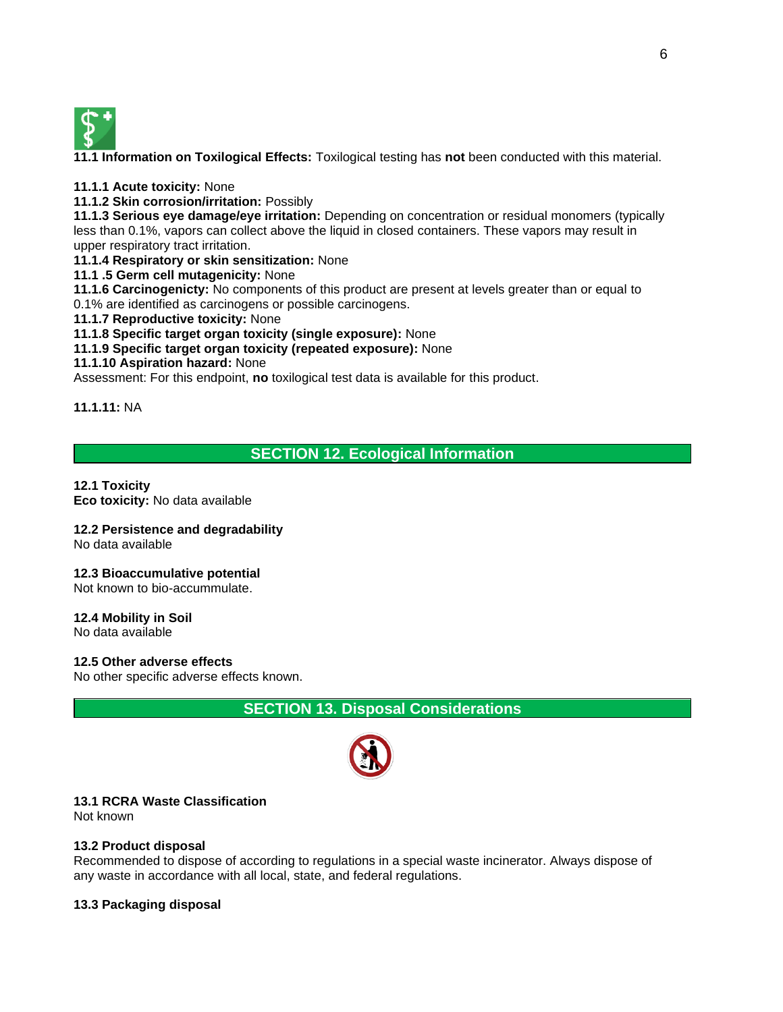

**11.1 Information on Toxilogical Effects:** Toxilogical testing has **not** been conducted with this material.

**11.1.1 Acute toxicity:** None

**11.1.2 Skin corrosion/irritation:** Possibly

**11.1.3 Serious eye damage/eye irritation:** Depending on concentration or residual monomers (typically less than 0.1%, vapors can collect above the liquid in closed containers. These vapors may result in upper respiratory tract irritation.

**11.1.4 Respiratory or skin sensitization:** None

**11.1 .5 Germ cell mutagenicity:** None

**11.1.6 Carcinogenicty:** No components of this product are present at levels greater than or equal to 0.1% are identified as carcinogens or possible carcinogens.

**11.1.7 Reproductive toxicity:** None

**11.1.8 Specific target organ toxicity (single exposure):** None

**11.1.9 Specific target organ toxicity (repeated exposure):** None

### **11.1.10 Aspiration hazard:** None

Assessment: For this endpoint, **no** toxilogical test data is available for this product.

**11.1.11:** NA

### **SECTION 12. Ecological Information**

### **12.1 Toxicity**

**Eco toxicity:** No data available

### **12.2 Persistence and degradability**

No data available

### **12.3 Bioaccumulative potential**

Not known to bio-accummulate.

### **12.4 Mobility in Soil**

No data available

**12.5 Other adverse effects**

No other specific adverse effects known.

**SECTION 13. Disposal Considerations**



### **13.1 RCRA Waste Classification**

Not known

### **13.2 Product disposal**

Recommended to dispose of according to regulations in a special waste incinerator. Always dispose of any waste in accordance with all local, state, and federal regulations.

**13.3 Packaging disposal**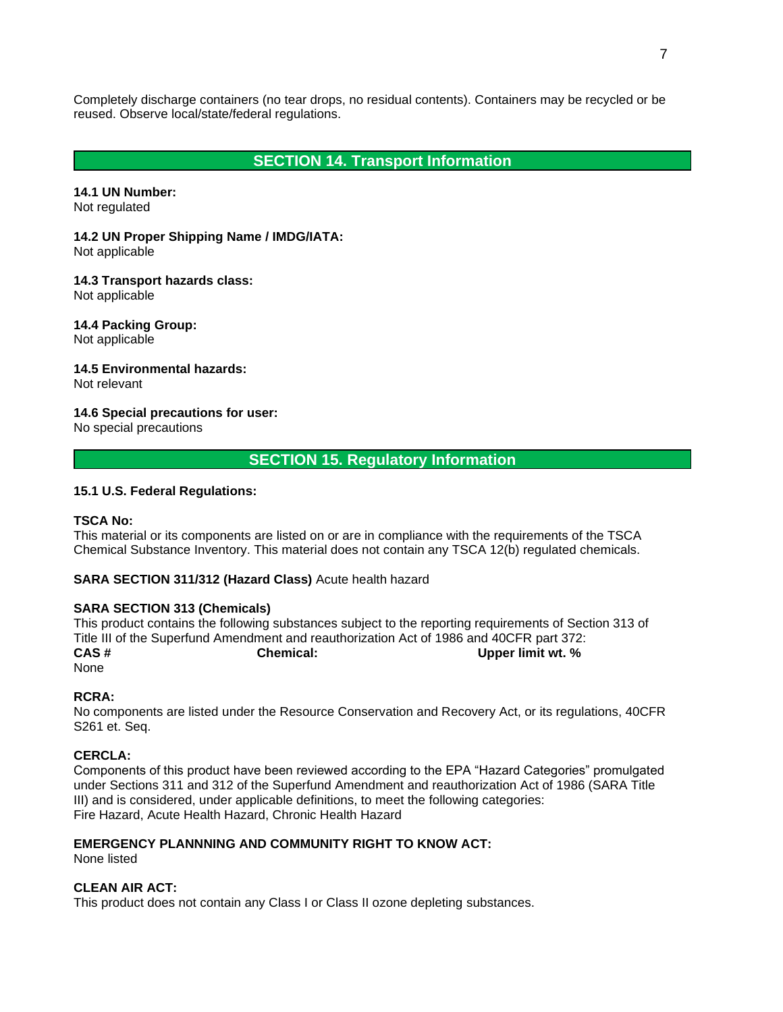Completely discharge containers (no tear drops, no residual contents). Containers may be recycled or be reused. Observe local/state/federal regulations.

### **SECTION 14. Transport Information**

**14.1 UN Number:** Not regulated

**14.2 UN Proper Shipping Name / IMDG/IATA:** Not applicable

**14.3 Transport hazards class:** Not applicable

**14.4 Packing Group:** Not applicable

**14.5 Environmental hazards:** Not relevant

**14.6 Special precautions for user:** No special precautions

**SECTION 15. Regulatory Information**

### **15.1 U.S. Federal Regulations:**

### **TSCA No:**

This material or its components are listed on or are in compliance with the requirements of the TSCA Chemical Substance Inventory. This material does not contain any TSCA 12(b) regulated chemicals.

#### **SARA SECTION 311/312 (Hazard Class)** Acute health hazard

#### **SARA SECTION 313 (Chemicals)**

This product contains the following substances subject to the reporting requirements of Section 313 of Title III of the Superfund Amendment and reauthorization Act of 1986 and 40CFR part 372:<br>CAS # **Chemical:** Cupper limit wt. % **Chemical:** Upper limit wt. % None

#### **RCRA:**

No components are listed under the Resource Conservation and Recovery Act, or its regulations, 40CFR S261 et. Seq.

#### **CERCLA:**

Components of this product have been reviewed according to the EPA "Hazard Categories" promulgated under Sections 311 and 312 of the Superfund Amendment and reauthorization Act of 1986 (SARA Title III) and is considered, under applicable definitions, to meet the following categories: Fire Hazard, Acute Health Hazard, Chronic Health Hazard

### **EMERGENCY PLANNNING AND COMMUNITY RIGHT TO KNOW ACT:**

None listed

#### **CLEAN AIR ACT:**

This product does not contain any Class I or Class II ozone depleting substances.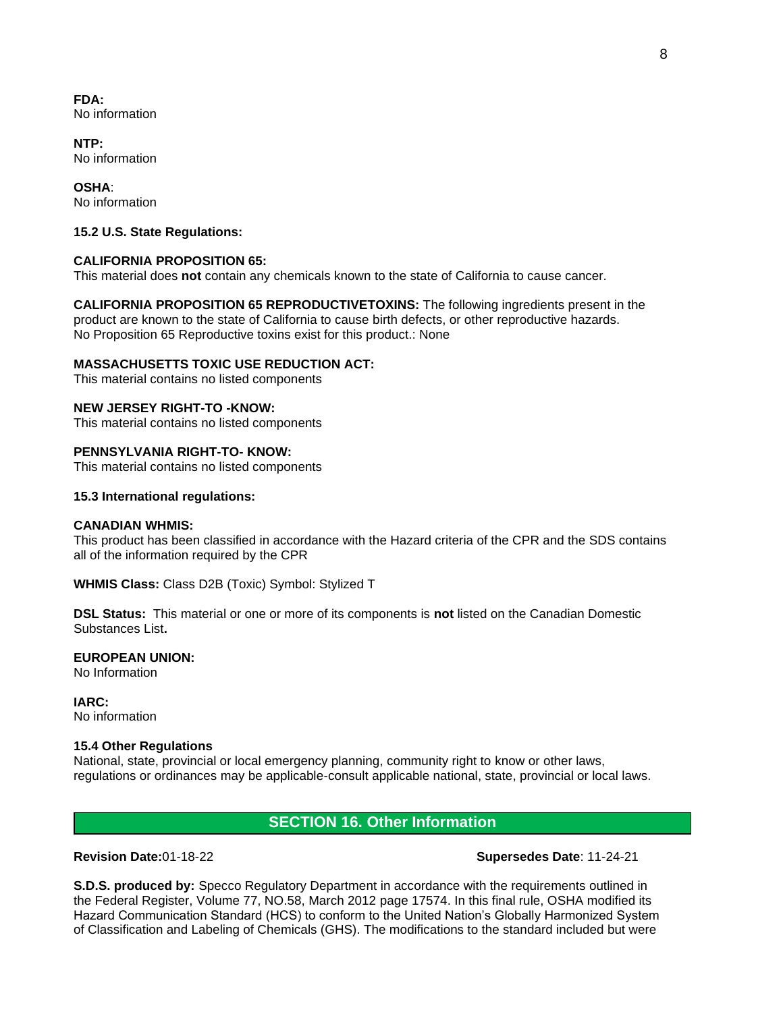**FDA:** No information

**NTP:** No information

**OSHA**: No information

### **15.2 U.S. State Regulations:**

### **CALIFORNIA PROPOSITION 65:**

This material does **not** contain any chemicals known to the state of California to cause cancer.

**CALIFORNIA PROPOSITION 65 REPRODUCTIVETOXINS:** The following ingredients present in the product are known to the state of California to cause birth defects, or other reproductive hazards. No Proposition 65 Reproductive toxins exist for this product.: None

### **MASSACHUSETTS TOXIC USE REDUCTION ACT:**

This material contains no listed components

### **NEW JERSEY RIGHT-TO -KNOW:**

This material contains no listed components

### **PENNSYLVANIA RIGHT-TO- KNOW:**

This material contains no listed components

#### **15.3 International regulations:**

#### **CANADIAN WHMIS:**

This product has been classified in accordance with the Hazard criteria of the CPR and the SDS contains all of the information required by the CPR

**WHMIS Class:** Class D2B (Toxic) Symbol: Stylized T

**DSL Status:** This material or one or more of its components is **not** listed on the Canadian Domestic Substances List**.**

#### **EUROPEAN UNION:**

No Information

**IARC:** No information

### **15.4 Other Regulations**

National, state, provincial or local emergency planning, community right to know or other laws, regulations or ordinances may be applicable-consult applicable national, state, provincial or local laws.

### **SECTION 16. Other Information**

#### **Revision Date:**01-18-22 **Supersedes Date**: 11-24-21

**S.D.S. produced by:** Specco Regulatory Department in accordance with the requirements outlined in the Federal Register, Volume 77, NO.58, March 2012 page 17574. In this final rule, OSHA modified its Hazard Communication Standard (HCS) to conform to the United Nation's Globally Harmonized System of Classification and Labeling of Chemicals (GHS). The modifications to the standard included but were